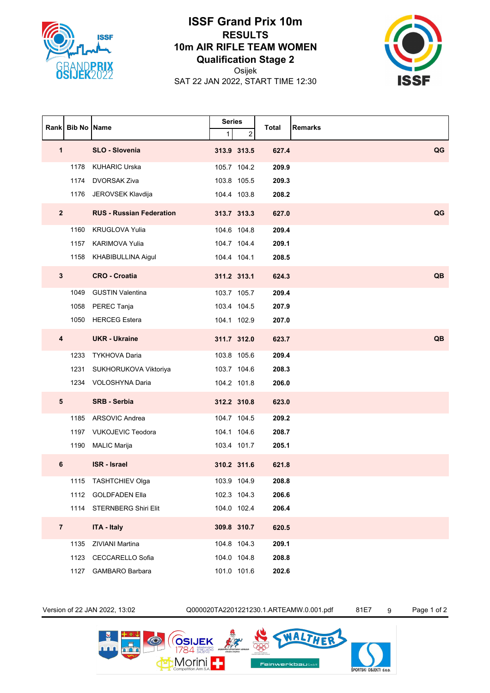

## **ISSF Grand Prix 10m RESULTS 10m AIR RIFLE TEAM WOMEN Qualification Stage 2**

Osijek

SAT 22 JAN 2022, START TIME 12:30



|                | <b>Rank Bib No Name</b> |                                 | <b>Series</b> |             |       |                |
|----------------|-------------------------|---------------------------------|---------------|-------------|-------|----------------|
|                |                         |                                 | $\mathbf{1}$  | 2           | Total | <b>Remarks</b> |
| 1              |                         | SLO - Slovenia                  |               | 313.9 313.5 | 627.4 | QG             |
|                | 1178                    | <b>KUHARIC Urska</b>            |               | 105.7 104.2 | 209.9 |                |
|                | 1174                    | <b>DVORSAK Ziva</b>             |               | 103.8 105.5 | 209.3 |                |
|                | 1176                    | JEROVSEK Klavdija               |               | 104.4 103.8 | 208.2 |                |
| $2^{\circ}$    |                         | <b>RUS - Russian Federation</b> |               | 313.7 313.3 | 627.0 | QG             |
|                | 1160                    | <b>KRUGLOVA Yulia</b>           |               | 104.6 104.8 | 209.4 |                |
|                | 1157                    | <b>KARIMOVA Yulia</b>           |               | 104.7 104.4 | 209.1 |                |
|                |                         | 1158 KHABIBULLINA Aigul         |               | 104.4 104.1 | 208.5 |                |
| $\mathbf{3}$   |                         | <b>CRO - Croatia</b>            |               | 311.2 313.1 | 624.3 | <b>QB</b>      |
|                | 1049                    | <b>GUSTIN Valentina</b>         |               | 103.7 105.7 | 209.4 |                |
|                | 1058                    | PEREC Tanja                     |               | 103.4 104.5 | 207.9 |                |
|                | 1050                    | <b>HERCEG Estera</b>            |               | 104.1 102.9 | 207.0 |                |
| 4              |                         | <b>UKR</b> - Ukraine            |               | 311.7 312.0 | 623.7 | QB             |
|                | 1233                    | <b>TYKHOVA Daria</b>            |               | 103.8 105.6 | 209.4 |                |
|                | 1231                    | SUKHORUKOVA Viktoriya           |               | 103.7 104.6 | 208.3 |                |
|                |                         | 1234 VOLOSHYNA Daria            |               | 104.2 101.8 | 206.0 |                |
| 5              |                         | <b>SRB - Serbia</b>             |               | 312.2 310.8 | 623.0 |                |
|                | 1185                    | ARSOVIC Andrea                  |               | 104.7 104.5 | 209.2 |                |
|                |                         | 1197 VUKOJEVIC Teodora          |               | 104.1 104.6 | 208.7 |                |
|                |                         | 1190 MALIC Marija               |               | 103.4 101.7 | 205.1 |                |
| 6              |                         | <b>ISR</b> - Israel             |               | 310.2 311.6 | 621.8 |                |
|                |                         | 1115 TASHTCHIEV Olga            |               | 103.9 104.9 | 208.8 |                |
|                |                         | 1112 GOLDFADEN Ella             |               | 102.3 104.3 | 206.6 |                |
|                |                         | 1114 STERNBERG Shiri Elit       |               | 104.0 102.4 | 206.4 |                |
| $\overline{7}$ |                         | <b>ITA - Italy</b>              |               | 309.8 310.7 | 620.5 |                |
|                | 1135                    | ZIVIANI Martina                 |               | 104.8 104.3 | 209.1 |                |
|                |                         | 1123 CECCARELLO Sofia           |               | 104.0 104.8 | 208.8 |                |
|                | 1127                    | GAMBARO Barbara                 |               | 101.0 101.6 | 202.6 |                |

Version of 22 JAN 2022, 13:02 Q000020TA2201221230.1.ARTEAMW.0.001.pdf 81E7 9 Page 1 of 2